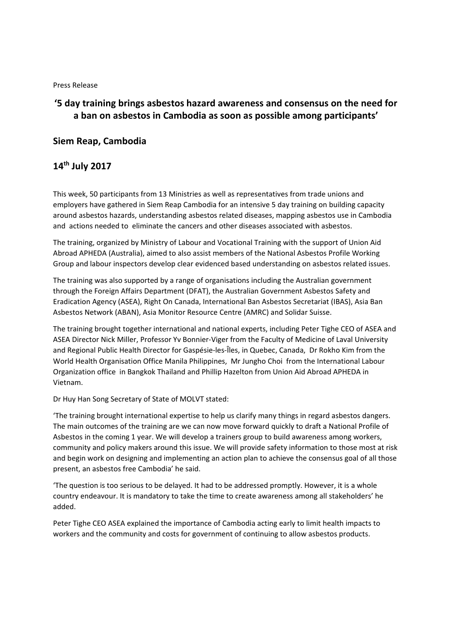## Press Release

## **'5 day training brings asbestos hazard awareness and consensus on the need for a ban on asbestos in Cambodia as soon as possible among participants'**

## **Siem Reap, Cambodia**

## **14th July 2017**

This week, 50 participants from 13 Ministries as well as representatives from trade unions and employers have gathered in Siem Reap Cambodia for an intensive 5 day training on building capacity around asbestos hazards, understanding asbestos related diseases, mapping asbestos use in Cambodia and actions needed to eliminate the cancers and other diseases associated with asbestos.

The training, organized by Ministry of Labour and Vocational Training with the support of Union Aid Abroad APHEDA (Australia), aimed to also assist members of the National Asbestos Profile Working Group and labour inspectors develop clear evidenced based understanding on asbestos related issues.

The training was also supported by a range of organisations including the Australian government through the Foreign Affairs Department (DFAT), the Australian Government Asbestos Safety and Eradication Agency (ASEA), Right On Canada, International Ban Asbestos Secretariat (IBAS), Asia Ban Asbestos Network (ABAN), Asia Monitor Resource Centre (AMRC) and Solidar Suisse.

The training brought together international and national experts, including Peter Tighe CEO of ASEA and ASEA Director Nick Miller, Professor Yv Bonnier‐Viger from the Faculty of Medicine of Laval University and Regional Public Health Director for Gaspésie‐les‐Îles, in Quebec, Canada, Dr Rokho Kim from the World Health Organisation Office Manila Philippines, Mr Jungho Choi from the International Labour Organization office in Bangkok Thailand and Phillip Hazelton from Union Aid Abroad APHEDA in Vietnam.

Dr Huy Han Song Secretary of State of MOLVT stated:

'The training brought international expertise to help us clarify many things in regard asbestos dangers. The main outcomes of the training are we can now move forward quickly to draft a National Profile of Asbestos in the coming 1 year. We will develop a trainers group to build awareness among workers, community and policy makers around this issue. We will provide safety information to those most at risk and begin work on designing and implementing an action plan to achieve the consensus goal of all those present, an asbestos free Cambodia' he said.

'The question is too serious to be delayed. It had to be addressed promptly. However, it is a whole country endeavour. It is mandatory to take the time to create awareness among all stakeholders' he added.

Peter Tighe CEO ASEA explained the importance of Cambodia acting early to limit health impacts to workers and the community and costs for government of continuing to allow asbestos products.